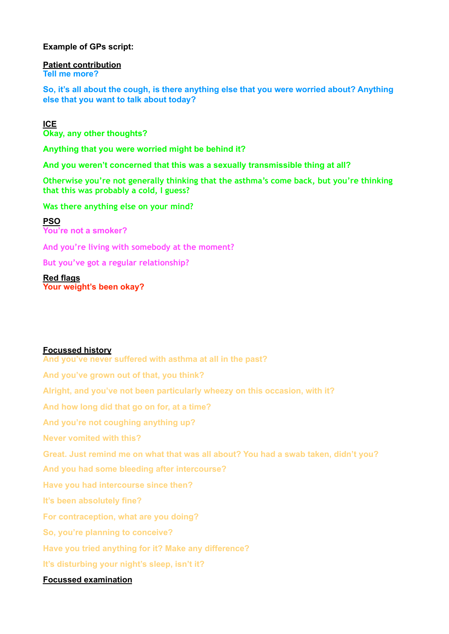### **Example of GPs script:**

**Patient contribution Tell me more?** 

**So, it's all about the cough, is there anything else that you were worried about? Anything else that you want to talk about today?**

## **ICE Okay, any other thoughts?**

**Anything that you were worried might be behind it?** 

**And you weren't concerned that this was a sexually transmissible thing at all?**

**Otherwise you're not generally thinking that the asthma's come back, but you're thinking that this was probably a cold, I guess?** 

**Was there anything else on your mind?**

**PSO You're not a smoker?**

**And you're living with somebody at the moment?** 

**But you've got a regular relationship?**

**Red flags Your weight's been okay?** 

# **Focussed history**

**And you've never suffered with asthma at all in the past? And you've grown out of that, you think? Alright, and you've not been particularly wheezy on this occasion, with it? And how long did that go on for, at a time? And you're not coughing anything up? Never vomited with this? Great. Just remind me on what that was all about? You had a swab taken, didn't you? And you had some bleeding after intercourse? Have you had intercourse since then? It's been absolutely fine? For contraception, what are you doing? So, you're planning to conceive? Have you tried anything for it? Make any difference? It's disturbing your night's sleep, isn't it? Focussed examination**